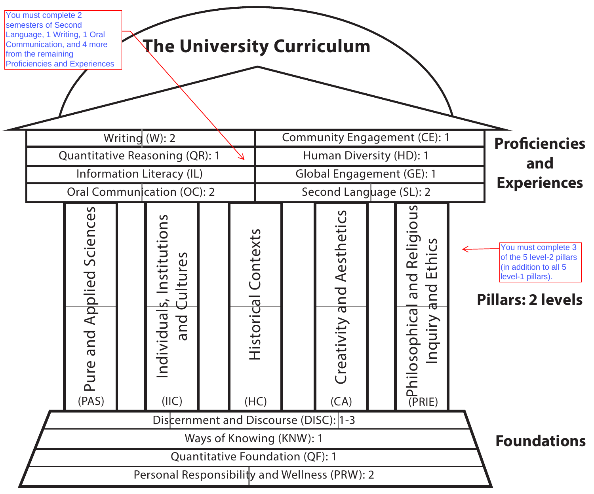